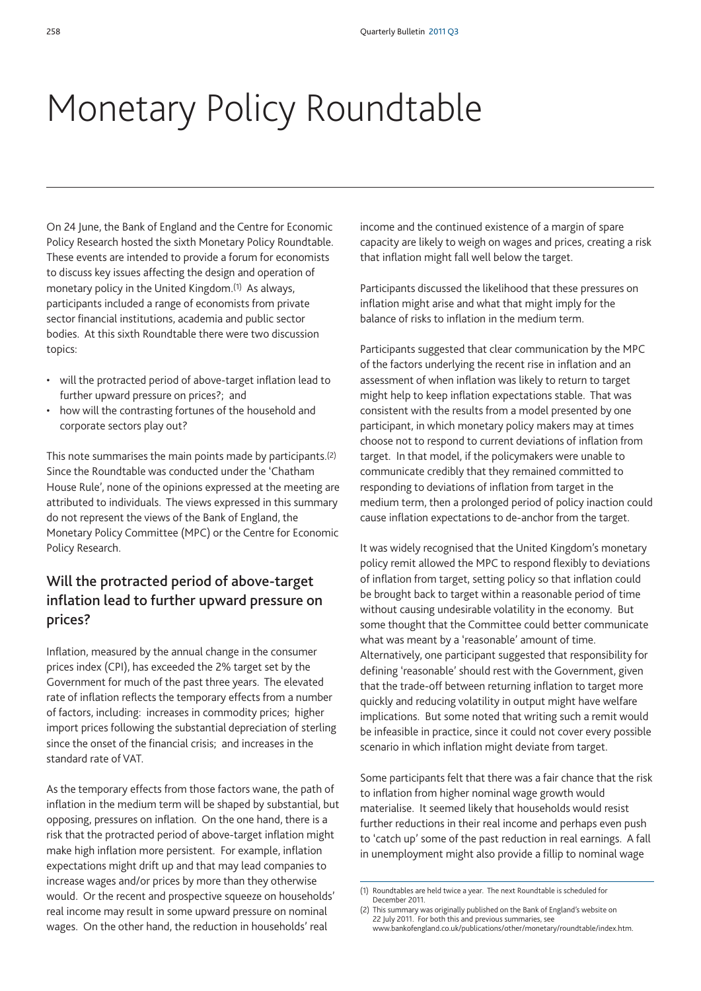## Monetary Policy Roundtable

On 24 June, the Bank of England and the Centre for Economic Policy Research hosted the sixth Monetary Policy Roundtable. These events are intended to provide a forum for economists to discuss key issues affecting the design and operation of monetary policy in the United Kingdom.(1) As always, participants included a range of economists from private sector financial institutions, academia and public sector bodies. At this sixth Roundtable there were two discussion topics:

- will the protracted period of above-target inflation lead to further upward pressure on prices?; and
- how will the contrasting fortunes of the household and corporate sectors play out?

This note summarises the main points made by participants.(2) Since the Roundtable was conducted under the 'Chatham House Rule', none of the opinions expressed at the meeting are attributed to individuals. The views expressed in this summary do not represent the views of the Bank of England, the Monetary Policy Committee (MPC) or the Centre for Economic Policy Research.

## **Will the protracted period of above-target inflation lead to further upward pressure on prices?**

Inflation, measured by the annual change in the consumer prices index (CPI), has exceeded the 2% target set by the Government for much of the past three years. The elevated rate of inflation reflects the temporary effects from a number of factors, including: increases in commodity prices; higher import prices following the substantial depreciation of sterling since the onset of the financial crisis; and increases in the standard rate of VAT.

As the temporary effects from those factors wane, the path of inflation in the medium term will be shaped by substantial, but opposing, pressures on inflation. On the one hand, there is a risk that the protracted period of above-target inflation might make high inflation more persistent. For example, inflation expectations might drift up and that may lead companies to increase wages and/or prices by more than they otherwise would. Or the recent and prospective squeeze on households' real income may result in some upward pressure on nominal wages. On the other hand, the reduction in households' real

income and the continued existence of a margin of spare capacity are likely to weigh on wages and prices, creating a risk that inflation might fall well below the target.

Participants discussed the likelihood that these pressures on inflation might arise and what that might imply for the balance of risks to inflation in the medium term.

Participants suggested that clear communication by the MPC of the factors underlying the recent rise in inflation and an assessment of when inflation was likely to return to target might help to keep inflation expectations stable. That was consistent with the results from a model presented by one participant, in which monetary policy makers may at times choose not to respond to current deviations of inflation from target. In that model, if the policymakers were unable to communicate credibly that they remained committed to responding to deviations of inflation from target in the medium term, then a prolonged period of policy inaction could cause inflation expectations to de-anchor from the target.

It was widely recognised that the United Kingdom's monetary policy remit allowed the MPC to respond flexibly to deviations of inflation from target, setting policy so that inflation could be brought back to target within a reasonable period of time without causing undesirable volatility in the economy. But some thought that the Committee could better communicate what was meant by a 'reasonable' amount of time. Alternatively, one participant suggested that responsibility for defining 'reasonable' should rest with the Government, given that the trade-off between returning inflation to target more quickly and reducing volatility in output might have welfare implications. But some noted that writing such a remit would be infeasible in practice, since it could not cover every possible scenario in which inflation might deviate from target.

Some participants felt that there was a fair chance that the risk to inflation from higher nominal wage growth would materialise. It seemed likely that households would resist further reductions in their real income and perhaps even push to 'catch up' some of the past reduction in real earnings. A fall in unemployment might also provide a fillip to nominal wage

<sup>(1)</sup> Roundtables are held twice a year. The next Roundtable is scheduled for December 2011.

<sup>(2)</sup> This summary was originally published on the Bank of England's website on 22 July 2011. For both this and previous summaries, see www.bankofengland.co.uk/publications/other/monetary/roundtable/index.htm.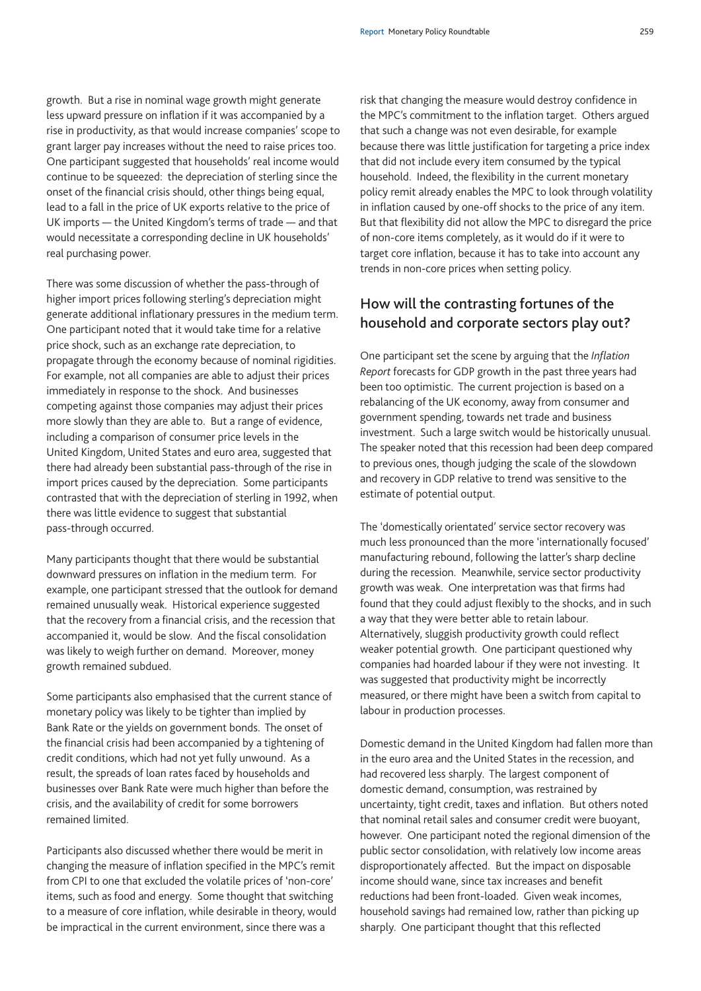growth. But a rise in nominal wage growth might generate less upward pressure on inflation if it was accompanied by a rise in productivity, as that would increase companies' scope to grant larger pay increases without the need to raise prices too. One participant suggested that households' real income would continue to be squeezed: the depreciation of sterling since the onset of the financial crisis should, other things being equal, lead to a fall in the price of UK exports relative to the price of UK imports — the United Kingdom's terms of trade — and that would necessitate a corresponding decline in UK households' real purchasing power.

There was some discussion of whether the pass-through of higher import prices following sterling's depreciation might generate additional inflationary pressures in the medium term. One participant noted that it would take time for a relative price shock, such as an exchange rate depreciation, to propagate through the economy because of nominal rigidities. For example, not all companies are able to adjust their prices immediately in response to the shock. And businesses competing against those companies may adjust their prices more slowly than they are able to. But a range of evidence, including a comparison of consumer price levels in the United Kingdom, United States and euro area, suggested that there had already been substantial pass-through of the rise in import prices caused by the depreciation. Some participants contrasted that with the depreciation of sterling in 1992, when there was little evidence to suggest that substantial pass-through occurred.

Many participants thought that there would be substantial downward pressures on inflation in the medium term. For example, one participant stressed that the outlook for demand remained unusually weak. Historical experience suggested that the recovery from a financial crisis, and the recession that accompanied it, would be slow. And the fiscal consolidation was likely to weigh further on demand. Moreover, money growth remained subdued.

Some participants also emphasised that the current stance of monetary policy was likely to be tighter than implied by Bank Rate or the yields on government bonds. The onset of the financial crisis had been accompanied by a tightening of credit conditions, which had not yet fully unwound. As a result, the spreads of loan rates faced by households and businesses over Bank Rate were much higher than before the crisis, and the availability of credit for some borrowers remained limited.

Participants also discussed whether there would be merit in changing the measure of inflation specified in the MPC's remit from CPI to one that excluded the volatile prices of 'non-core' items, such as food and energy. Some thought that switching to a measure of core inflation, while desirable in theory, would be impractical in the current environment, since there was a

risk that changing the measure would destroy confidence in the MPC's commitment to the inflation target. Others argued that such a change was not even desirable, for example because there was little justification for targeting a price index that did not include every item consumed by the typical household. Indeed, the flexibility in the current monetary policy remit already enables the MPC to look through volatility in inflation caused by one-off shocks to the price of any item. But that flexibility did not allow the MPC to disregard the price of non-core items completely, as it would do if it were to target core inflation, because it has to take into account any trends in non-core prices when setting policy.

## **How will the contrasting fortunes of the household and corporate sectors play out?**

One participant set the scene by arguing that the *Inflation Report* forecasts for GDP growth in the past three years had been too optimistic. The current projection is based on a rebalancing of the UK economy, away from consumer and government spending, towards net trade and business investment. Such a large switch would be historically unusual. The speaker noted that this recession had been deep compared to previous ones, though judging the scale of the slowdown and recovery in GDP relative to trend was sensitive to the estimate of potential output.

The 'domestically orientated' service sector recovery was much less pronounced than the more 'internationally focused' manufacturing rebound, following the latter's sharp decline during the recession. Meanwhile, service sector productivity growth was weak. One interpretation was that firms had found that they could adjust flexibly to the shocks, and in such a way that they were better able to retain labour. Alternatively, sluggish productivity growth could reflect weaker potential growth. One participant questioned why companies had hoarded labour if they were not investing. It was suggested that productivity might be incorrectly measured, or there might have been a switch from capital to labour in production processes.

Domestic demand in the United Kingdom had fallen more than in the euro area and the United States in the recession, and had recovered less sharply. The largest component of domestic demand, consumption, was restrained by uncertainty, tight credit, taxes and inflation. But others noted that nominal retail sales and consumer credit were buoyant, however. One participant noted the regional dimension of the public sector consolidation, with relatively low income areas disproportionately affected. But the impact on disposable income should wane, since tax increases and benefit reductions had been front-loaded. Given weak incomes, household savings had remained low, rather than picking up sharply. One participant thought that this reflected